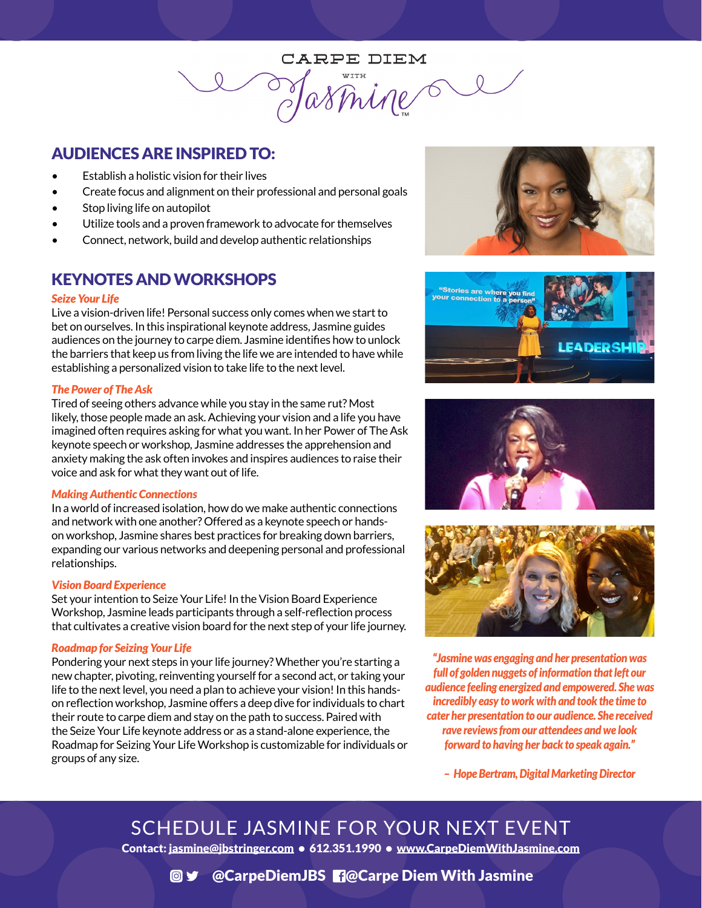CARPE DIEM Jasmine

## AUDIENCES ARE INSPIRED TO:

- Establish a holistic vision for their lives
- Create focus and alignment on their professional and personal goals
- Stop living life on autopilot
- Utilize tools and a proven framework to advocate for themselves
- Connect, network, build and develop authentic relationships

### KEYNOTES AND WORKSHOPS

#### *Seize Your Life*

Live a vision-driven life! Personal success only comes when we start to bet on ourselves. In this inspirational keynote address, Jasmine guides audiences on the journey to carpe diem. Jasmine identifies how to unlock the barriers that keep us from living the life we are intended to have while establishing a personalized vision to take life to the next level.

#### *The Power of The Ask*

Tired of seeing others advance while you stay in the same rut? Most likely, those people made an ask. Achieving your vision and a life you have imagined often requires asking for what you want. In her Power of The Ask keynote speech or workshop, Jasmine addresses the apprehension and anxiety making the ask often invokes and inspires audiences to raise their voice and ask for what they want out of life.

#### *Making Authentic Connections*

In a world of increased isolation, how do we make authentic connections and network with one another? Offered as a keynote speech or handson workshop, Jasmine shares best practices for breaking down barriers, expanding our various networks and deepening personal and professional relationships.

#### *Vision Board Experience*

Set your intention to Seize Your Life! In the Vision Board Experience Workshop, Jasmine leads participants through a self-reflection process that cultivates a creative vision board for the next step of your life journey.

### *Roadmap for Seizing Your Life*

Pondering your next steps in your life journey? Whether you're starting a new chapter, pivoting, reinventing yourself for a second act, or taking your life to the next level, you need a plan to achieve your vision! In this handson reflection workshop, Jasmine offers a deep dive for individuals to chart their route to carpe diem and stay on the path to success. Paired with the Seize Your Life keynote address or as a stand-alone experience, the Roadmap for Seizing Your Life Workshop is customizable for individuals or groups of any size.









*"Jasmine was engaging and her presentation was full of golden nuggets of information that left our audience feeling energized and empowered. She was incredibly easy to work with and took the time to cater her presentation to our audience. She received rave reviews from our attendees and we look forward to having her back to speak again."*

– *Hope Bertram, Digital Marketing Director*

SCHEDULE JASMINE FOR YOUR NEXT EVENT Contact: [jasmine@jbstringer.com](mailto:jasmine%40jbstringer.com?subject=Yes%2C%20I%20want%20to%20book%20you%20for%20speaking) • 612.351.1990 • [www.CarpeDiemWithJasmine.com](http://www.CarpeDiemWithJasmine.com)

### **@y** @CarpeDiemJBS **ReCarpe Diem With Jasmine**